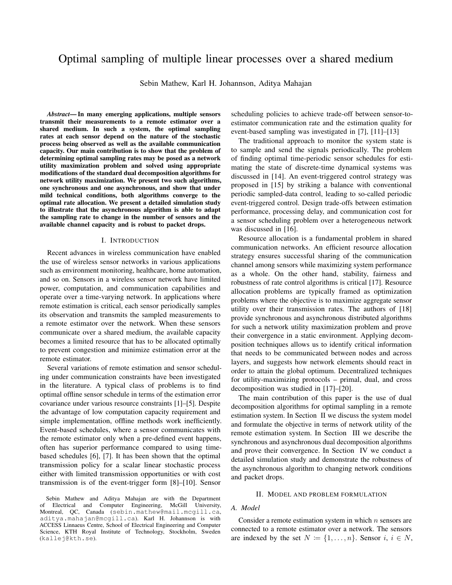# Optimal sampling of multiple linear processes over a shared medium

Sebin Mathew, Karl H. Johannson, Aditya Mahajan

*Abstract*— In many emerging applications, multiple sensors transmit their measurements to a remote estimator over a shared medium. In such a system, the optimal sampling rates at each sensor depend on the nature of the stochastic process being observed as well as the available communication capacity. Our main contribution is to show that the problem of determining optimal sampling rates may be posed as a network utility maximization problem and solved using appropriate modifications of the standard dual decomposition algorithms for network utility maximization. We present two such algorithms, one synchronous and one asynchronous, and show that under mild technical conditions, both algorithms converge to the optimal rate allocation. We present a detailed simulation study to illustrate that the asynchronous algorithm is able to adapt the sampling rate to change in the number of sensors and the available channel capacity and is robust to packet drops.

#### I. INTRODUCTION

Recent advances in wireless communication have enabled the use of wireless sensor networks in various applications such as environment monitoring, healthcare, home automation, and so on. Sensors in a wireless sensor network have limited power, computation, and communication capabilities and operate over a time-varying network. In applications where remote estimation is critical, each sensor periodically samples its observation and transmits the sampled measurements to a remote estimator over the network. When these sensors communicate over a shared medium, the available capacity becomes a limited resource that has to be allocated optimally to prevent congestion and minimize estimation error at the remote estimator.

Several variations of remote estimation and sensor scheduling under communication constraints have been investigated in the literature. A typical class of problems is to find optimal offline sensor schedule in terms of the estimation error covariance under various resource constraints [1]–[5]. Despite the advantage of low computation capacity requirement and simple implementation, offline methods work inefficiently. Event-based schedules, where a sensor communicates with the remote estimator only when a pre-defined event happens, often has superior performance compared to using timebased schedules [6], [7]. It has been shown that the optimal transmission policy for a scalar linear stochastic process either with limited transmission opportunities or with cost transmission is of the event-trigger form [8]–[10]. Sensor

scheduling policies to achieve trade-off between sensor-toestimator communication rate and the estimation quality for event-based sampling was investigated in [7], [11]–[13]

The traditional approach to monitor the system state is to sample and send the signals periodically. The problem of finding optimal time-periodic sensor schedules for estimating the state of discrete-time dynamical systems was discussed in [14]. An event-triggered control strategy was proposed in [15] by striking a balance with conventional periodic sampled-data control, leading to so-called periodic event-triggered control. Design trade-offs between estimation performance, processing delay, and communication cost for a sensor scheduling problem over a heterogeneous network was discussed in [16].

Resource allocation is a fundamental problem in shared communication networks. An efficient resource allocation strategy ensures successful sharing of the communication channel among sensors while maximizing system performance as a whole. On the other hand, stability, fairness and robustness of rate control algorithms is critical [17]. Resource allocation problems are typically framed as optimization problems where the objective is to maximize aggregate sensor utility over their transmission rates. The authors of [18] provide synchronous and asynchronous distributed algorithms for such a network utility maximization problem and prove their convergence in a static environment. Applying decomposition techniques allows us to identify critical information that needs to be communicated between nodes and across layers, and suggests how network elements should react in order to attain the global optimum. Decentralized techniques for utility-maximizing protocols – primal, dual, and cross decomposition was studied in [17]–[20].

The main contribution of this paper is the use of dual decomposition algorithms for optimal sampling in a remote estimation system. In Section II we discuss the system model and formulate the objective in terms of network utility of the remote estimation system. In Section III we describe the synchronous and asynchronous dual decomposition algorithms and prove their convergence. In Section IV we conduct a detailed simulation study and demonstrate the robustness of the asynchronous algorithm to changing network conditions and packet drops.

#### II. MODEL AND PROBLEM FORMULATION

## *A. Model*

Consider a remote estimation system in which  $n$  sensors are connected to a remote estimator over a network. The sensors are indexed by the set  $N := \{1, \ldots, n\}$ . Sensor  $i, i \in N$ ,

Sebin Mathew and Aditya Mahajan are with the Department of Electrical and Computer Engineering, McGill University, Montreal, QC, Canada (sebin.mathew@mail.mcgill.ca, aditya.mahajan@mcgill.ca). Karl H. Johannson is with ACCESS Linnaeus Centre, School of Electrical Engineering and Computer Science, KTH Royal Institute of Technology, Stockholm, Sweden (kallej@kth.se).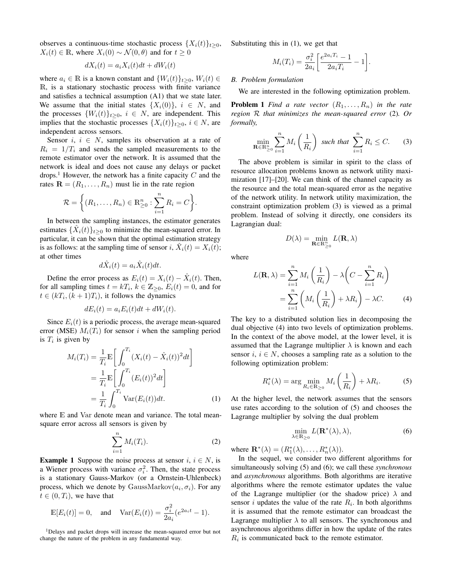observes a continuous-time stochastic process  $\{X_i(t)\}_{t\geq 0}$ ,  $X_i(t) \in \mathbb{R}$ , where  $X_i(0) \sim \mathcal{N}(0, \theta)$  and for  $t \geq 0$ 

$$
dX_i(t) = a_i X_i(t)dt + dW_i(t)
$$

where  $a_i \in \mathbb{R}$  is a known constant and  $\{W_i(t)\}_{t>0}, W_i(t) \in$ R, is a stationary stochastic process with finite variance and satisfies a technical assumption (A1) that we state later. We assume that the initial states  $\{X_i(0)\}, i \in \mathbb{N}$ , and the processes  $\{W_i(t)\}_{t>0}$ ,  $i \in N$ , are independent. This implies that the stochastic processes  $\{X_i(t)\}_{t\geq 0}, i \in \mathbb{N}$ , are independent across sensors.

Sensor  $i, i \in N$ , samples its observation at a rate of  $R_i = 1/T_i$  and sends the sampled measurements to the remote estimator over the network. It is assumed that the network is ideal and does not cause any delays or packet drops.<sup>1</sup> However, the network has a finite capacity  $C$  and the rates  $\mathbf{R} = (R_1, \ldots, R_n)$  must lie in the rate region

$$
\mathcal{R} = \left\{ (R_1, \ldots, R_n) \in \mathbb{R}_{\geq 0}^n : \sum_{i=1}^n R_i = C \right\}.
$$

In between the sampling instances, the estimator generates estimates  $\{\hat{X}_i(t)\}_{t\geq 0}$  to minimize the mean-squared error. In particular, it can be shown that the optimal estimation strategy is as follows: at the sampling time of sensor i,  $\hat{X}_i(t) = X_i(t)$ ; at other times

$$
d\hat{X}_i(t) = a_i \hat{X}_i(t) dt.
$$

Define the error process as  $E_i(t) = X_i(t) - \hat{X}_i(t)$ . Then, for all sampling times  $t = kT_i$ ,  $k \in \mathbb{Z}_{\geq 0}$ ,  $E_i(t) = 0$ , and for  $t \in (kT_i, (k+1)T_i)$ , it follows the dynamics

$$
dE_i(t) = a_i E_i(t)dt + dW_i(t).
$$

Since  $E_i(t)$  is a periodic process, the average mean-squared error (MSE)  $M_i(T_i)$  for sensor i when the sampling period is  $T_i$  is given by

$$
M_i(T_i) = \frac{1}{T_i} \mathbb{E} \bigg[ \int_0^{T_i} (X_i(t) - \hat{X}_i(t))^2 dt \bigg]
$$
  
= 
$$
\frac{1}{T_i} \mathbb{E} \bigg[ \int_0^{T_i} (E_i(t))^2 dt \bigg]
$$
  
= 
$$
\frac{1}{T_i} \int_0^{T_i} \text{Var}(E_i(t)) dt.
$$
 (1)

where  $E$  and  $Var$  denote mean and variance. The total meansquare error across all sensors is given by

$$
\sum_{i=1}^{n} M_i(T_i). \tag{2}
$$

**Example 1** Suppose the noise process at sensor  $i, i \in N$ , is a Wiener process with variance  $\sigma_i^2$ . Then, the state process is a stationary Gauss-Markov (or a Ornstein-Uhlenbeck) process, which we denote by  $GaussMarkov(a_i, \sigma_i)$ . For any  $t \in (0, T_i)$ , we have that

$$
\mathbb{E}[E_i(t)] = 0, \quad \text{and} \quad \text{Var}(E_i(t)) = \frac{\sigma_i^2}{2a_i}(e^{2a_i t} - 1).
$$

<sup>1</sup>Delays and packet drops will increase the mean-squared error but not change the nature of the problem in any fundamental way.

Substituting this in (1), we get that

$$
M_i(T_i) = \frac{\sigma_i^2}{2a_i} \left[ \frac{e^{2a_i T_i} - 1}{2a_i T_i} - 1 \right].
$$

## *B. Problem formulation*

We are interested in the following optimization problem.

**Problem 1** *Find a rate vector*  $(R_1, \ldots, R_n)$  *in the rate region* R *that minimizes the mean-squared error* (2)*. Or formally,*

$$
\min_{\mathbf{R}\in\mathbb{R}_{\geq 0}^n} \sum_{i=1}^n M_i\left(\frac{1}{R_i}\right) \text{ such that } \sum_{i=1}^n R_i \leq C. \tag{3}
$$

The above problem is similar in spirit to the class of resource allocation problems known as network utility maximization [17]–[20]. We can think of the channel capacity as the resource and the total mean-squared error as the negative of the network utility. In network utility maximization, the constraint optimization problem (3) is viewed as a primal problem. Instead of solving it directly, one considers its Lagrangian dual:

$$
D(\lambda) = \min_{\mathbf{R} \in \mathbb{R}_{\geq 0}^n} L(\mathbf{R}, \lambda)
$$

where

$$
L(\mathbf{R}, \lambda) = \sum_{i=1}^{n} M_i \left(\frac{1}{R_i}\right) - \lambda \left(C - \sum_{i=1}^{n} R_i\right)
$$

$$
= \sum_{i=1}^{n} \left(M_i \left(\frac{1}{R_i}\right) + \lambda R_i\right) - \lambda C.
$$
(4)

The key to a distributed solution lies in decomposing the dual objective (4) into two levels of optimization problems. In the context of the above model, at the lower level, it is assumed that the Lagrange multiplier  $\lambda$  is known and each sensor  $i, i \in N$ , chooses a sampling rate as a solution to the following optimization problem:

$$
R_i^*(\lambda) = \arg\min_{R_i \in \mathbb{R}_{\geq 0}} M_i\left(\frac{1}{R_i}\right) + \lambda R_i.
$$
 (5)

At the higher level, the network assumes that the sensors use rates according to the solution of (5) and chooses the Lagrange multiplier by solving the dual problem

$$
\min_{\lambda \in \mathbb{R}_{\geq 0}} L(\mathbf{R}^*(\lambda), \lambda),\tag{6}
$$

where  $\mathbf{R}^*(\lambda) = (R_1^*(\lambda), \dots, R_n^*(\lambda)).$ 

In the sequel, we consider two different algorithms for simultaneously solving (5) and (6); we call these *synchronous* and *asynchronous* algorithms. Both algorithms are iterative algorithms where the remote estimator updates the value of the Lagrange multiplier (or the shadow price)  $\lambda$  and sensor *i* updates the value of the rate  $R_i$ . In both algorithms it is assumed that the remote estimator can broadcast the Lagrange multiplier  $\lambda$  to all sensors. The synchronous and asynchronous algorithms differ in how the update of the rates  $R_i$  is communicated back to the remote estimator.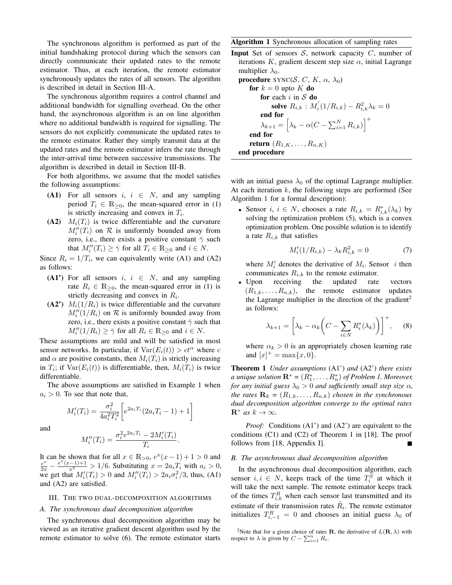The synchronous algorithm is performed as part of the initial handshaking protocol during which the sensors can directly communicate their updated rates to the remote estimator. Thus, at each iteration, the remote estimator synchronously updates the rates of all sensors. The algorithm is described in detail in Section III-A.

The synchronous algorithm requires a control channel and additional bandwidth for signalling overhead. On the other hand, the asynchronous algorithm is an on line algorithm where no additional bandwidth is required for signalling. The sensors do not explicitly communicate the updated rates to the remote estimator. Rather they simply transmit data at the updated rates and the remote estimator infers the rate through the inter-arrival time between successive transmissions. The algorithm is described in detail in Section III-B.

For both algorithms, we assume that the model satisfies the following assumptions:

- (A1) For all sensors  $i, i \in N$ , and any sampling period  $T_i \in \mathbb{R}_{\geq 0}$ , the mean-squared error in (1) is strictly increasing and convex in  $T_i$ .
- (A2)  $M_i(T_i)$  is twice differentiable and the curvature  $M''_i(T_i)$  on  $R$  is uniformly bounded away from zero, i.e., there exists a positive constant  $\bar{\gamma}$  such that  $M''_i(T_i) \geq \overline{\gamma}$  for all  $T_i \in \mathbb{R}_{\geq 0}$  and  $i \in N$ .

Since  $R_i = 1/T_i$ , we can equivalently write (A1) and (A2) as follows:

- (A1') For all sensors  $i, i \in N$ , and any sampling rate  $R_i \in \mathbb{R}_{\geq 0}$ , the mean-squared error in (1) is strictly decreasing and convex in  $R_i$ .
- (A2')  $M_i(1/R_i)$  is twice differentiable and the curvature  $M''_i(1/R_i)$  on  $R$  is uniformly bounded away from zero, i.e., there exists a positive constant  $\bar{\gamma}$  such that  $M''_i(1/R_i) \geq \overline{\gamma}$  for all  $R_i \in \mathbb{R}_{\geq 0}$  and  $i \in N$ .

These assumptions are mild and will be satisfied in most sensor networks. In particular, if  $Var(E_i(t)) > ct^{\alpha}$  where c and  $\alpha$  are positive constants, then  $M_i(T_i)$  is strictly increasing in  $T_i$ ; if  $Var(E_i(t))$  is differentiable, then,  $M_i(T_i)$  is twice differentiable.

The above assumptions are satisfied in Example 1 when  $a_i > 0$ . To see that note that,

$$
M_i'(T_i) = \frac{\sigma_i^2}{4a_i^2 T_i^2} \left[ e^{2a_i T_i} (2a_i T_i - 1) + 1 \right]
$$

and

$$
M''_i(T_i) = \frac{\sigma_i^2 e^{2a_i T_i} - 2M'_i(T_i)}{T_i}.
$$

It can be shown that for all  $x \in \mathbb{R}_{>0}$ ,  $e^x(x-1) + 1 > 0$  and  $\frac{e^x}{2x} - \frac{e^x(x-1)+1}{x^3} > 1/6$ . Substituting  $x = 2a_iT_i$  with  $a_i > 0$ , we get that  $M_i'(T_i) > 0$  and  $M_i''(T_i) > 2a_i \sigma_i^2/3$ , thus, (A1) and (A2) are satisfied.

# III. THE TWO DUAL-DECOMPOSITION ALGORITHMS

# *A. The synchronous dual decomposition algorithm*

The synchronous dual decomposition algorithm may be viewed as an iterative gradient descent algorithm used by the remote estimator to solve (6). The remote estimator starts

#### Algorithm 1 Synchronous allocation of sampling rates

**Input** Set of sensors  $S$ , network capacity  $C$ , number of iterations K, gradient descent step size  $\alpha$ , initial Lagrange multiplier  $\lambda_0$ .

**procedure** SYNC(S, C, K,  $\alpha$ ,  $\lambda_0$ ) for  $k = 0$  upto K do for each  $i$  in  $S$  do solve  $R_{i,k}$ :  $M'_{i}(1/R_{i,k}) - R_{i,k}^{2} \lambda_{k} = 0$ end for  $\lambda_{k+1} = \left[\lambda_k - \alpha (C - \sum_{i=1}^N R_{i,k})\right]^+$ end for return  $(R_{1,K},\ldots,R_{n,K})$ end procedure

with an initial guess  $\lambda_0$  of the optimal Lagrange multiplier. At each iteration  $k$ , the following steps are performed (See Algorithm 1 for a formal description):

• Sensor *i*,  $i \in N$ , chooses a rate  $R_{i,k} = R_{i,k}^*(\lambda_k)$  by solving the optimization problem (5), which is a convex optimization problem. One possible solution is to identify a rate  $R_{i,k}$  that satisfies

$$
M_i'(1/R_{i,k}) - \lambda_k R_{i,k}^2 = 0 \tag{7}
$$

where  $M'_i$  denotes the derivative of  $M_i$ . Sensor i then communicates  $R_{i,k}$  to the remote estimator.

• Upon receiving the updated rate vectors  $(R_{1,k}, \ldots, R_{n,k})$ , the remote estimator updates the Lagrange multiplier in the direction of the gradient<sup>2</sup> as follows:

$$
\lambda_{k+1} = \left[ \lambda_k - \alpha_k \left( C - \sum_{i \in N} R_i^*(\lambda_k) \right) \right]^+, \quad (8)
$$

where  $\alpha_k > 0$  is an appropriately chosen learning rate and  $[x]^{+} = \max\{x, 0\}.$ 

Theorem 1 *Under assumptions* (A1') *and* (A2') *there exists a* unique solution  $\mathbf{R}^* = (R_1^*, \ldots, R_n^*)$  of Problem 1. Moreover, *for any initial guess*  $\lambda_0 > 0$  *and sufficiently small step size*  $\alpha$ *, the rates*  $\mathbf{R}_k = (R_{1,k}, \ldots, R_{n,k})$  *chosen in the synchronous dual decomposition algorithm converge to the optimal rates*  $\mathbf{R}^*$  *as*  $k \to \infty$ *.* 

*Proof:* Conditions (A1') and (A2') are equivalent to the conditions (C1) and (C2) of Theorem 1 in [18]. The proof follows from [18, Appendix I].

#### *B. The asynchronous dual decomposition algorithm*

In the asynchronous dual decomposition algorithm, each sensor  $i, i \in N$ , keeps track of the time  $T_i^S$  at which it will take the next sample. The remote estimator keeps track of the times  $T_{i,k}^R$  when each sensor last transmitted and its estimate of their transmission rates  $\hat{R}_i$ . The remote estimator initializes  $T_{i,-1}^R = 0$  and chooses an initial guess  $\lambda_0$  of

<sup>2</sup>Note that for a given choice of rates **R**, the derivative of  $L(\mathbf{R}, \lambda)$  with respect to  $\lambda$  is given by  $C - \sum_{i=1}^{n} R_i$ .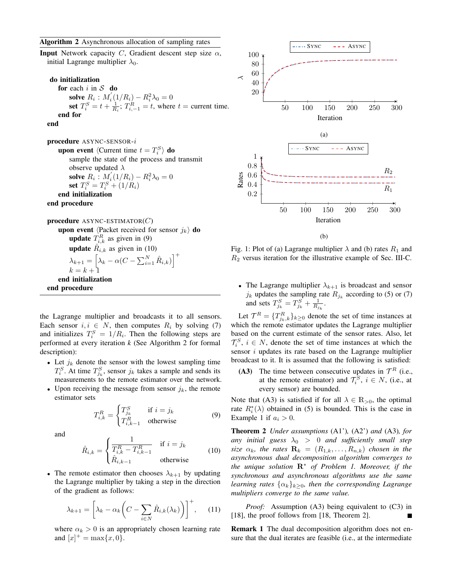Algorithm 2 Asynchronous allocation of sampling rates

**Input** Network capacity C, Gradient descent step size  $\alpha$ , initial Lagrange multiplier  $\lambda_0$ .

do initialization for each  $i$  in  $S$  do solve  $R_i$  :  $M_i^{'}(1/R_i) - R_i^2 \lambda_0 = 0$ set  $T_i^S = t + \frac{1}{R_i}$ ;  $T_{i,-1}^R = t$ , where  $t =$  current time. end for end

procedure ASYNC-SENSOR-i **upon event**  $\langle$  Current time  $t = T_i^S \rangle$  **do** sample the state of the process and transmit observe updated  $\lambda$ solve  $R_i$ :  $M_i^{'}(1/R_i) - R_i^2 \lambda_0 = 0$ set  $T_i^S = T_i^S + (1/R_i)$ end initialization end procedure

```
procedure ASYNC-ESTIMATOR(C)upon event \langle Packet received for sensor j_k do
         update T_{i,k}^R as given in (9)
         update \hat{R}_{i,k} as given in (10)
         \lambda_{k+1} = \left[ \lambda_k - \alpha (C - \sum_{i=1}^N \hat{R}_{i,k}) \right]^+k = k + 1end initialization
end procedure
```
the Lagrange multiplier and broadcasts it to all sensors. Each sensor  $i, i \in N$ , then computes  $R_i$  by solving (7) and initializes  $T_i^S = 1/R_i$ . Then the following steps are performed at every iteration *k* (See Algorithm 2 for formal description):

- Let  $j_k$  denote the sensor with the lowest sampling time  $T_i^S$ . At time  $T_{j_k}^S$ , sensor  $j_k$  takes a sample and sends its measurements to the remote estimator over the network.
- Upon receiving the message from sensor  $j_k$ , the remote estimator sets

$$
T_{i,k}^R = \begin{cases} T_{j_k}^S & \text{if } i = j_k \\ T_{i,k-1}^R & \text{otherwise} \end{cases}
$$
 (9)

and

$$
\hat{R}_{i,k} = \begin{cases}\n\frac{1}{T_{i,k}^R - T_{i,k-1}^R} & \text{if } i = j_k \\
\hat{R}_{i,k-1} & \text{otherwise}\n\end{cases}
$$
\n(10)

• The remote estimator then chooses  $\lambda_{k+1}$  by updating the Lagrange multiplier by taking a step in the direction of the gradient as follows:

$$
\lambda_{k+1} = \left[ \lambda_k - \alpha_k \left( C - \sum_{i \in N} \hat{R}_{i,k}(\lambda_k) \right) \right]^+, \quad (11)
$$

where  $\alpha_k > 0$  is an appropriately chosen learning rate and  $[x]^{+} = \max\{x, 0\}.$ 



Fig. 1: Plot of (a) Lagrange multiplier  $\lambda$  and (b) rates  $R_1$  and  $R_2$  versus iteration for the illustrative example of Sec. III-C.

• The Lagrange multiplier  $\lambda_{k+1}$  is broadcast and sensor  $j_k$  updates the sampling rate  $R_{j_k}$  according to (5) or (7) and sets  $T_{j_k}^S = T_{j_k}^S + \frac{1}{R_{j_k}}$ .

Let  $\mathcal{T}^R = \{T_{j_k,k}^R\}_{k\geq 0}$  denote the set of time instances at which the remote estimator updates the Lagrange multiplier based on the current estimate of the sensor rates. Also, let  $\mathcal{T}_i^S$ ,  $i \in \mathbb{N}$ , denote the set of time instances at which the sensor *i* updates its rate based on the Lagrange multiplier broadcast to it. It is assumed that the following is satisfied:

(A3) The time between consecutive updates in  $\mathcal{T}^R$  (i.e., at the remote estimator) and  $\mathcal{T}_i^S$ ,  $i \in \mathbb{N}$ , (i.e., at every sensor) are bounded.

Note that (A3) is satisfied if for all  $\lambda \in \mathbb{R}_{>0}$ , the optimal rate  $R_i^*(\lambda)$  obtained in (5) is bounded. This is the case in Example 1 if  $a_i > 0$ .

Theorem 2 *Under assumptions* (A1')*,* (A2') *and* (A3)*, for any initial guess*  $\lambda_0 > 0$  *and sufficiently small step size*  $\alpha_k$ , the rates  $\mathbf{R}_k = (R_{1,k}, \ldots, R_{n,k})$  chosen in the *asynchronous dual decomposition algorithm converges to the unique solution* R<sup>∗</sup> *of Problem 1. Moreover, if the synchronous and asynchronous algorithms use the same learning rates*  $\{\alpha_k\}_{k>0}$ *, then the corresponding Lagrange multipliers converge to the same value.*

*Proof:* Assumption (A3) being equivalent to (C3) in [18], the proof follows from [18, Theorem 2].

Remark 1 The dual decomposition algorithm does not ensure that the dual iterates are feasible (i.e., at the intermediate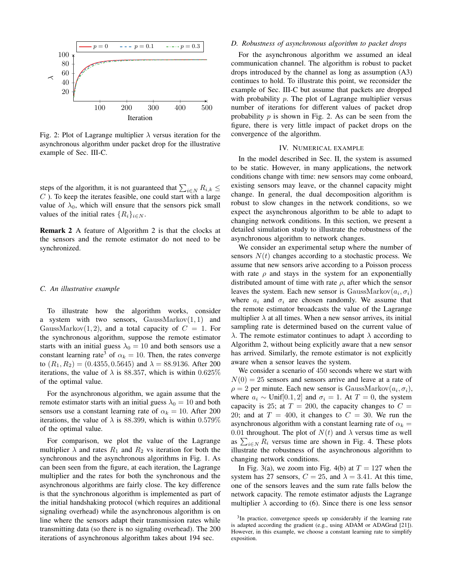

Fig. 2: Plot of Lagrange multiplier  $\lambda$  versus iteration for the asynchronous algorithm under packet drop for the illustrative example of Sec. III-C.

steps of the algorithm, it is not guaranteed that  $\sum_{i \in N} R_{i,k} \leq$ C ). To keep the iterates feasible, one could start with a large value of  $\lambda_0$ , which will ensure that the sensors pick small values of the initial rates  $\{R_i\}_{i\in N}$ .

Remark 2 A feature of Algorithm 2 is that the clocks at the sensors and the remote estimator do not need to be synchronized.

## *C. An illustrative example*

To illustrate how the algorithm works, consider a system with two sensors,  $GaussMarkov(1, 1)$  and GaussMarkov $(1, 2)$ , and a total capacity of  $C = 1$ . For the synchronous algorithm, suppose the remote estimator starts with an initial guess  $\lambda_0 = 10$  and both sensors use a constant learning rate<sup>3</sup> of  $\alpha_k = 10$ . Then, the rates converge to  $(R_1, R_2) = (0.4355, 0.5645)$  and  $\lambda = 88.9136$ . After 200 iterations, the value of  $\lambda$  is 88.357, which is within 0.625% of the optimal value.

For the asynchronous algorithm, we again assume that the remote estimator starts with an initial guess  $\lambda_0 = 10$  and both sensors use a constant learning rate of  $\alpha_k = 10$ . After 200 iterations, the value of  $\lambda$  is 88.399, which is within 0.579% of the optimal value.

For comparison, we plot the value of the Lagrange multiplier  $\lambda$  and rates  $R_1$  and  $R_2$  vs iteration for both the synchronous and the asynchronous algorithms in Fig. 1. As can been seen from the figure, at each iteration, the Lagrange multiplier and the rates for both the synchronous and the asynchronous algorithms are fairly close. The key difference is that the synchronous algorithm is implemented as part of the initial handshaking protocol (which requires an additional signaling overhead) while the asynchronous algorithm is on line where the sensors adapt their transmission rates while transmitting data (so there is no signaling overhead). The 200 iterations of asynchronous algorithm takes about 194 sec.

#### *D. Robustness of asynchronous algorithm to packet drops*

For the asynchronous algorithm we assumed an ideal communication channel. The algorithm is robust to packet drops introduced by the channel as long as assumption (A3) continues to hold. To illustrate this point, we reconsider the example of Sec. III-C but assume that packets are dropped with probability  $p$ . The plot of Lagrange multiplier versus number of iterations for different values of packet drop probability  $p$  is shown in Fig. 2. As can be seen from the figure, there is very little impact of packet drops on the convergence of the algorithm.

## IV. NUMERICAL EXAMPLE

In the model described in Sec. II, the system is assumed to be static. However, in many applications, the network conditions change with time: new sensors may come onboard, existing sensors may leave, or the channel capacity might change. In general, the dual decomposition algorithm is robust to slow changes in the network conditions, so we expect the asynchronous algorithm to be able to adapt to changing network conditions. In this section, we present a detailed simulation study to illustrate the robustness of the asynchronous algorithm to network changes.

We consider an experimental setup where the number of sensors  $N(t)$  changes according to a stochastic process. We assume that new sensors arive according to a Poisson process with rate  $\rho$  and stays in the system for an exponentially distributed amount of time with rate  $\rho$ , after which the sensor leaves the system. Each new sensor is GaussMarkov $(a_i, \sigma_i)$ where  $a_i$  and  $\sigma_i$  are chosen randomly. We assume that the remote estimator broadcasts the value of the Lagrange multiplier  $\lambda$  at all times. When a new sensor arrives, its initial sampling rate is determined based on the current value of  $\lambda$ . The remote estimator continues to adapt  $\lambda$  according to Algorithm 2, without being explicitly aware that a new sensor has arrived. Similarly, the remote estimator is not explicitly aware when a sensor leaves the system.

We consider a scenario of 450 seconds where we start with  $N(0) = 25$  sensors and sensors arrive and leave at a rate of  $\rho = 2$  per minute. Each new sensor is GaussMarkov $(a_i, \sigma_i)$ , where  $a_i \sim \text{Unif}[0.1, 2]$  and  $\sigma_i = 1$ . At  $T = 0$ , the system capacity is 25; at  $T = 200$ , the capacity changes to  $C =$ 20; and at  $T = 400$ , it changes to  $C = 30$ . We run the asynchronous algorithm with a constant learning rate of  $\alpha_k =$ 0.01 throughout. The plot of  $N(t)$  and  $\lambda$  versus time as well as  $\sum_{i \in N} R_i$  versus time are shown in Fig. 4. These plots illustrate the robustness of the asynchronous algorithm to changing network conditions.

In Fig. 3(a), we zoom into Fig. 4(b) at  $T = 127$  when the system has 27 sensors,  $C = 25$ , and  $\lambda = 3.41$ . At this time, one of the sensors leaves and the sum rate falls below the network capacity. The remote estimator adjusts the Lagrange multiplier  $\lambda$  according to (6). Since there is one less sensor

<sup>&</sup>lt;sup>3</sup>In practice, convergence speeds up considerably if the learning rate is adapted according the gradient (e.g., using ADAM or ADAGrad [21]). However, in this example, we choose a constant learning rate to simplify exposition.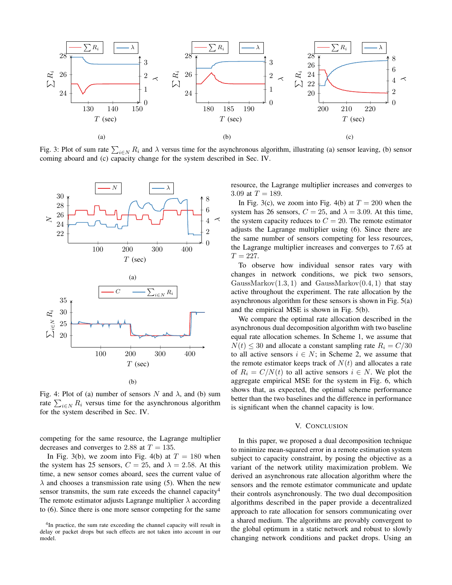

Fig. 3: Plot of sum rate  $\sum_{i\in N} R_i$  and  $\lambda$  versus time for the asynchronous algorithm, illustrating (a) sensor leaving, (b) sensor coming aboard and (c) capacity change for the system described in Sec. IV.



Fig. 4: Plot of (a) number of sensors N and  $\lambda$ , and (b) sum rate  $\sum_{i \in N} R_i$  versus time for the asynchronous algorithm for the system described in Sec. IV.

competing for the same resource, the Lagrange multiplier decreases and converges to 2.88 at  $T = 135$ .

In Fig. 3(b), we zoom into Fig. 4(b) at  $T = 180$  when the system has 25 sensors,  $C = 25$ , and  $\lambda = 2.58$ . At this time, a new sensor comes aboard, sees the current value of  $\lambda$  and chooses a transmission rate using (5). When the new sensor transmits, the sum rate exceeds the channel capacity<sup>4</sup> The remote estimator adjusts Lagrange multiplier  $\lambda$  according to (6). Since there is one more sensor competing for the same

<sup>4</sup>In practice, the sum rate exceeding the channel capacity will result in delay or packet drops but such effects are not taken into account in our model.

resource, the Lagrange multiplier increases and converges to 3.09 at  $T = 189$ .

In Fig. 3(c), we zoom into Fig. 4(b) at  $T = 200$  when the system has 26 sensors,  $C = 25$ , and  $\lambda = 3.09$ . At this time, the system capacity reduces to  $C = 20$ . The remote estimator adjusts the Lagrange multiplier using (6). Since there are the same number of sensors competing for less resources, the Lagrange multiplier increases and converges to 7.65 at  $T = 227.$ 

To observe how individual sensor rates vary with changes in network conditions, we pick two sensors,  $GaussMarkov(1.3, 1)$  and  $GaussMarkov(0.4, 1)$  that stay active throughout the experiment. The rate allocation by the asynchronous algorithm for these sensors is shown in Fig. 5(a) and the empirical MSE is shown in Fig. 5(b).

We compare the optimal rate allocation described in the asynchronous dual decomposition algorithm with two baseline equal rate allocation schemes. In Scheme 1, we assume that  $N(t) \leq 30$  and allocate a constant sampling rate  $R_i = C/30$ to all active sensors  $i \in N$ ; in Scheme 2, we assume that the remote estimator keeps track of  $N(t)$  and allocates a rate of  $R_i = C/N(t)$  to all active sensors  $i \in N$ . We plot the aggregate empirical MSE for the system in Fig. 6, which shows that, as expected, the optimal scheme performance better than the two baselines and the difference in performance is significant when the channel capacity is low.

## V. CONCLUSION

In this paper, we proposed a dual decomposition technique to minimize mean-squared error in a remote estimation system subject to capacity constraint, by posing the objective as a variant of the network utility maximization problem. We derived an asynchronous rate allocation algorithm where the sensors and the remote estimator communicate and update their controls asynchronously. The two dual decomposition algorithms described in the paper provide a decentralized approach to rate allocation for sensors communicating over a shared medium. The algorithms are provably convergent to the global optimum in a static network and robust to slowly changing network conditions and packet drops. Using an